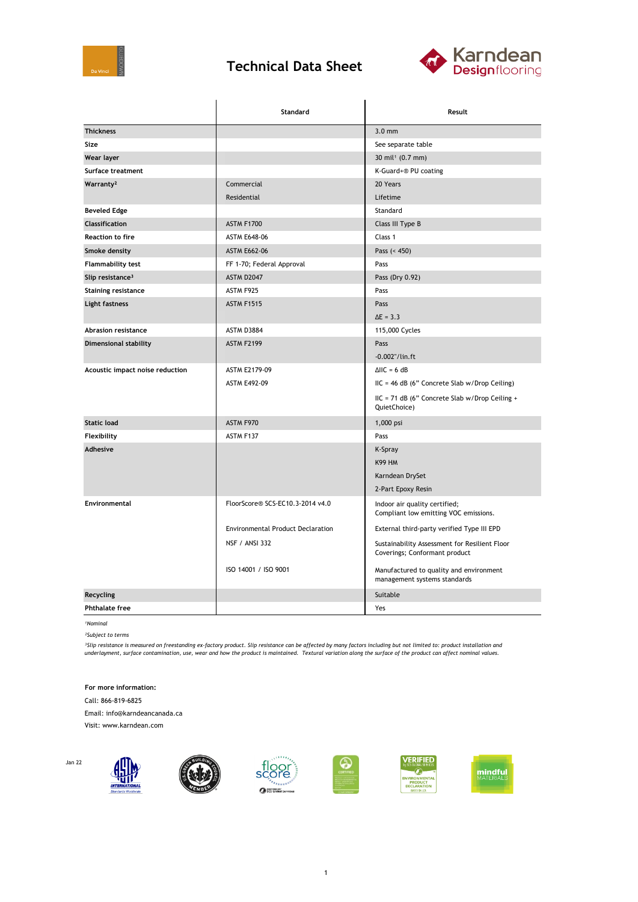

## **Technical Data Sheet**



|                                 | Standard                                 | Result                                                                         |
|---------------------------------|------------------------------------------|--------------------------------------------------------------------------------|
| <b>Thickness</b>                |                                          | $3.0$ mm                                                                       |
| Size                            |                                          | See separate table                                                             |
| Wear layer                      |                                          | $30 \text{ mil}^1 (0.7 \text{ mm})$                                            |
| Surface treatment               |                                          | K-Guard+® PU coating                                                           |
| Warranty <sup>2</sup>           | Commercial                               | 20 Years                                                                       |
|                                 | Residential                              | Lifetime                                                                       |
| <b>Beveled Edge</b>             |                                          | Standard                                                                       |
| Classification                  | <b>ASTM F1700</b>                        | Class III Type B                                                               |
| <b>Reaction to fire</b>         | <b>ASTM E648-06</b>                      | Class 1                                                                        |
| Smoke density                   | <b>ASTM E662-06</b>                      | Pass $(450)$                                                                   |
| <b>Flammability test</b>        | FF 1-70; Federal Approval                | Pass                                                                           |
| Slip resistance <sup>3</sup>    | ASTM D2047                               | Pass (Dry 0.92)                                                                |
| <b>Staining resistance</b>      | ASTM F925                                | Pass                                                                           |
| Light fastness                  | <b>ASTM F1515</b>                        | Pass                                                                           |
|                                 |                                          | $\Delta E = 3.3$                                                               |
| Abrasion resistance             | ASTM D3884                               | 115,000 Cycles                                                                 |
| <b>Dimensional stability</b>    | ASTM F2199                               | Pass                                                                           |
|                                 |                                          | $-0.002$ "/lin.ft                                                              |
| Acoustic impact noise reduction | ASTM E2179-09                            | $\triangle$ IIC = 6 dB                                                         |
|                                 | <b>ASTM E492-09</b>                      | IIC = 46 dB (6" Concrete Slab w/Drop Ceiling)                                  |
|                                 |                                          | IIC = 71 dB (6" Concrete Slab w/Drop Ceiling +<br>QuietChoice)                 |
| <b>Static load</b>              | ASTM F970                                | 1,000 psi                                                                      |
| Flexibility                     | ASTM F137                                | Pass                                                                           |
| Adhesive                        |                                          | K-Spray                                                                        |
|                                 |                                          | <b>K99 HM</b>                                                                  |
|                                 |                                          | Karndean DrySet                                                                |
|                                 |                                          | 2-Part Epoxy Resin                                                             |
| Environmental                   | FloorScore® SCS-EC10.3-2014 v4.0         | Indoor air quality certified;<br>Compliant low emitting VOC emissions.         |
|                                 | <b>Environmental Product Declaration</b> | External third-party verified Type III EPD                                     |
|                                 | <b>NSF / ANSI 332</b>                    | Sustainability Assessment for Resilient Floor<br>Coverings; Conformant product |
|                                 | ISO 14001 / ISO 9001                     | Manufactured to quality and environment<br>management systems standards        |
| Recycling                       |                                          | Suitable                                                                       |
| <b>Phthalate free</b>           |                                          | Yes                                                                            |

*¹Nominal*

*²Subject to terms*

<sup>3</sup>Slip resistance is measured on freestanding ex-factory product. Slip resistance can be affected by many factors including but not limited to: product installation and<br>underlayment, surface contamination, use, wear and h

**For more information:**

Call: 866-819-6825

Email: info@karndeancanada.ca

Visit: www.karndean.com